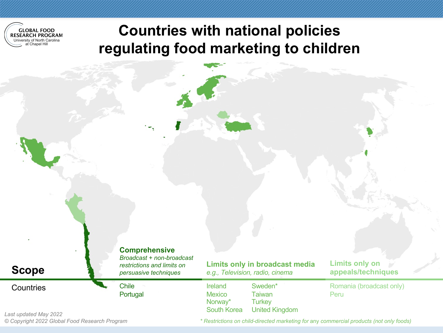

### **Countries with national policies regulating food marketing to children**

| <b>Scope</b> |
|--------------|
|--------------|

*Broadcast + non-broadcast restrictions and limits on persuasive techniques*

**Comprehensive**

Countries Chile Portugal **Limits only in broadcast media** *e.g., Television, radio, cinema*

Ireland **Mexico** Norway\* South Korea Sweden\* **Taiwan Turkey** United Kingdom **Limits only on appeals/techniques**

Romania (broadcast only) Peru

*Last updated May 2022 © Copyright 2022 Global Food Research Program*

*\* Restrictions on child-directed marketing for* any *commercial products (not only foods)*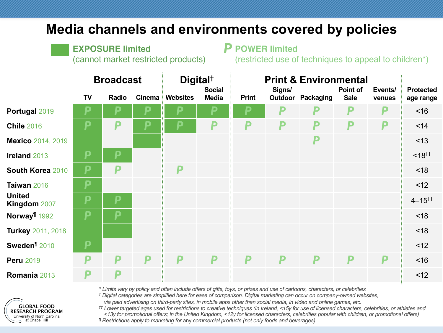#### **Media channels and environments covered by policies**

**EXPOSURE limited** 

(cannot market restricted products)

**POWER limited**  *P*

(restricted use of techniques to appeal to children\*)

|                               | <b>Broadcast</b> |       |        | Digital <sup>†</sup> |                               | <b>Print &amp; Environmental</b> |        |                          |                         |                   |                               |
|-------------------------------|------------------|-------|--------|----------------------|-------------------------------|----------------------------------|--------|--------------------------|-------------------------|-------------------|-------------------------------|
|                               | TV               | Radio | Cinema | <b>Websites</b>      | <b>Social</b><br><b>Media</b> | <b>Print</b>                     | Signs/ | <b>Outdoor Packaging</b> | Point of<br><b>Sale</b> | Events/<br>venues | <b>Protected</b><br>age range |
| Portugal 2019                 | D                | P     | Ρ      |                      | Р                             | P                                | P      | p                        | P                       | P                 | ~16                           |
| <b>Chile 2016</b>             | P                | P     | P      | P                    | P                             | P                                | P      | P                        | P                       | P                 | < 14                          |
| <b>Mexico</b> 2014, 2019      |                  |       |        |                      |                               |                                  |        | P                        |                         |                   | < 13                          |
| Ireland 2013                  | P                | P     |        |                      |                               |                                  |        |                          |                         |                   | $< 18^{+1}$                   |
| South Korea 2010              | P                | P     |        | P                    |                               |                                  |        |                          |                         |                   | < 18                          |
| Taiwan 2016                   | P                |       |        |                      |                               |                                  |        |                          |                         |                   | < 12                          |
| <b>United</b><br>Kingdom 2007 | P                | P     |        |                      |                               |                                  |        |                          |                         |                   | $4 - 15^{+1}$                 |
| Norway <sup>1</sup> 1992      | P                | P     |        |                      |                               |                                  |        |                          |                         |                   | < 18                          |
| Turkey 2011, 2018             |                  |       |        |                      |                               |                                  |        |                          |                         |                   | < 18                          |
| Sweden <sup>¶</sup> 2010      | P                |       |        |                      |                               |                                  |        |                          |                         |                   | <12                           |
| <b>Peru 2019</b>              | P                | P     | P      | P                    | P                             | P                                | P      | P                        | P                       | P                 | ~16                           |
| Romania 2013                  | P                | P     |        |                      |                               |                                  |        |                          |                         |                   | < 12                          |

*\* Limits vary by policy and often include offers of gifts, toys, or prizes and use of cartoons, characters, or celebrities*

*† Digital categories are simplified here for ease of comparison. Digital marketing can occur on company-owned websites,* 

*via paid advertising on third-party sites, in mobile apps other than social media, in video and online games, etc.*

*†† Lower targeted ages used for restrictions to creative techniques (in Ireland, <15y for use of licensed characters, celebrities, or athletes and <13y for promotional offers; in the United Kingdom, <12y for licensed characters, celebrities popular with children, or promotional offers) ¶ Restrictions apply to marketing for* any *commercial products (not only foods and beverages)*

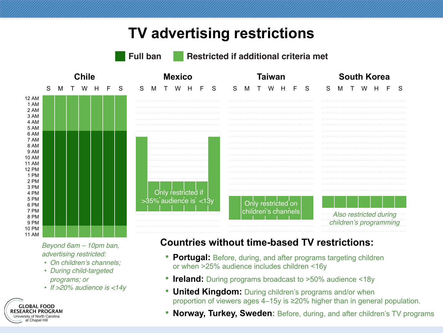## **TV advertising restrictions**



*Beyond 6am – 10pm ban, advertising restricted:*

- *On children's channels;*
- *During child-targeted programs; or*
- *If >20% audience is <14y*



#### **Countries without time-based TV restrictions:**

- **Portugal:** Before, during, and after programs targeting children or when >25% audience includes children <16y
- **Ireland:** During programs broadcast to >50% audience <18y
- **United Kingdom:** During children's programs and/or when proportion of viewers ages 4–15y is ≥20% higher than in general population.
- **Norway, Turkey, Sweden:** Before, during, and after children's TV programs